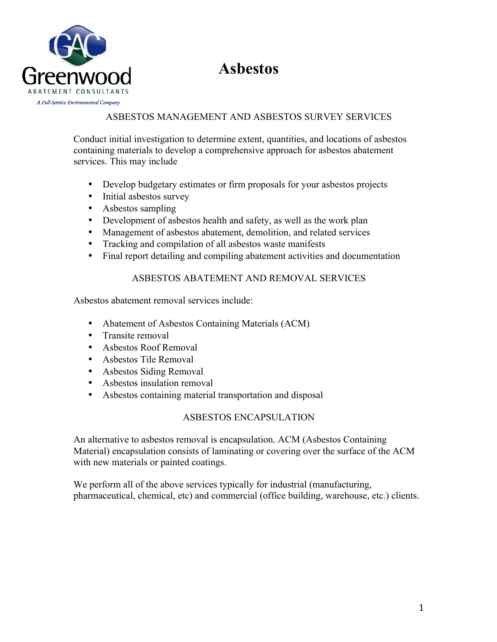



# ASBESTOS MANAGEMENT AND ASBESTOS SURVEY SERVICES

Conduct initial investigation to determine extent, quantities, and locations of asbestos containing materials to develop a comprehensive approach for asbestos abatement services. This may include

- Develop budgetary estimates or firm proposals for your asbestos projects
- Initial asbestos survey
- Asbestos sampling
- Development of asbestos health and safety, as well as the work plan
- Management of asbestos abatement, demolition, and related services
- Tracking and compilation of all asbestos waste manifests
- Final report detailing and compiling abatement activities and documentation

### ASBESTOS ABATEMENT AND REMOVAL SERVICES

Asbestos abatement removal services include:

- Abatement of Asbestos Containing Materials (ACM)
- Transite removal
- Asbestos Roof Removal
- Asbestos Tile Removal
- Asbestos Siding Removal
- Asbestos insulation removal
- Asbestos containing material transportation and disposal

# ASBESTOS ENCAPSULATION

An alternative to asbestos removal is encapsulation. ACM (Asbestos Containing Material) encapsulation consists of laminating or covering over the surface of the ACM with new materials or painted coatings.

We perform all of the above services typically for industrial (manufacturing, pharmaceutical, chemical, etc) and commercial (office building, warehouse, etc.) clients.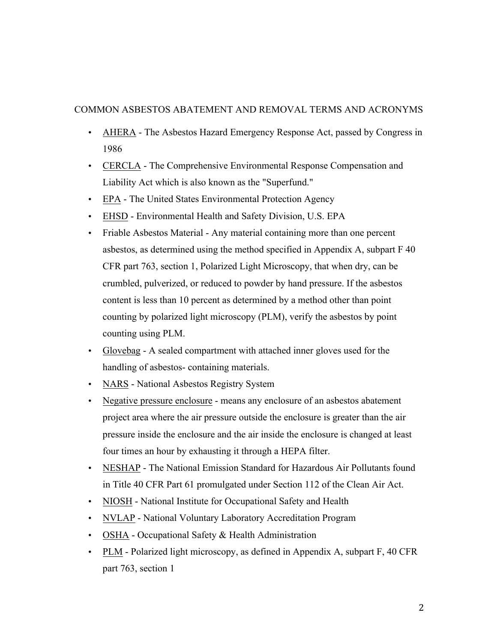### COMMON ASBESTOS ABATEMENT AND REMOVAL TERMS AND ACRONYMS

- AHERA The Asbestos Hazard Emergency Response Act, passed by Congress in 1986
- CERCLA The Comprehensive Environmental Response Compensation and Liability Act which is also known as the "Superfund."
- EPA The United States Environmental Protection Agency
- EHSD Environmental Health and Safety Division, U.S. EPA
- Friable Asbestos Material Any material containing more than one percent asbestos, as determined using the method specified in Appendix A, subpart F 40 CFR part 763, section 1, Polarized Light Microscopy, that when dry, can be crumbled, pulverized, or reduced to powder by hand pressure. If the asbestos content is less than 10 percent as determined by a method other than point counting by polarized light microscopy (PLM), verify the asbestos by point counting using PLM.
- Glovebag A sealed compartment with attached inner gloves used for the handling of asbestos- containing materials.
- NARS National Asbestos Registry System
- Negative pressure enclosure means any enclosure of an asbestos abatement project area where the air pressure outside the enclosure is greater than the air pressure inside the enclosure and the air inside the enclosure is changed at least four times an hour by exhausting it through a HEPA filter.
- NESHAP The National Emission Standard for Hazardous Air Pollutants found in Title 40 CFR Part 61 promulgated under Section 112 of the Clean Air Act.
- NIOSH National Institute for Occupational Safety and Health
- NVLAP National Voluntary Laboratory Accreditation Program
- OSHA Occupational Safety & Health Administration
- PLM Polarized light microscopy, as defined in Appendix A, subpart F, 40 CFR part 763, section 1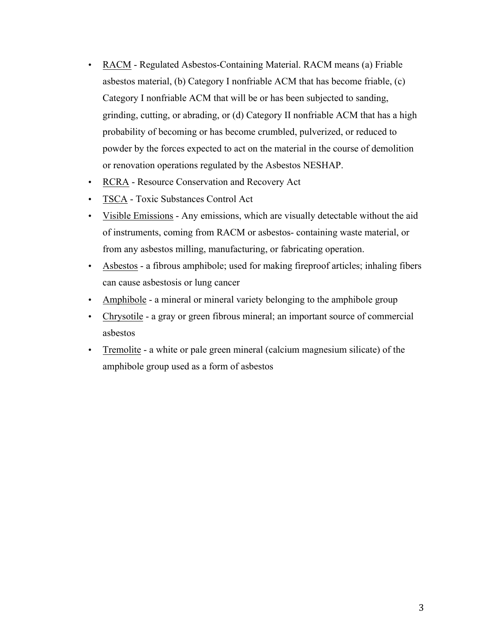- RACM Regulated Asbestos-Containing Material. RACM means (a) Friable asbestos material, (b) Category I nonfriable ACM that has become friable, (c) Category I nonfriable ACM that will be or has been subjected to sanding, grinding, cutting, or abrading, or (d) Category II nonfriable ACM that has a high probability of becoming or has become crumbled, pulverized, or reduced to powder by the forces expected to act on the material in the course of demolition or renovation operations regulated by the Asbestos NESHAP.
- RCRA Resource Conservation and Recovery Act
- TSCA Toxic Substances Control Act
- Visible Emissions Any emissions, which are visually detectable without the aid of instruments, coming from RACM or asbestos- containing waste material, or from any asbestos milling, manufacturing, or fabricating operation.
- Asbestos a fibrous amphibole; used for making fireproof articles; inhaling fibers can cause asbestosis or lung cancer
- Amphibole a mineral or mineral variety belonging to the amphibole group
- Chrysotile a gray or green fibrous mineral; an important source of commercial asbestos
- Tremolite a white or pale green mineral (calcium magnesium silicate) of the amphibole group used as a form of asbestos